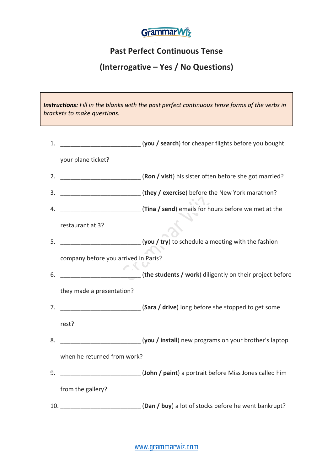

## **Past Perfect Continuous Tense**

## **(Interrogative – Yes / No Questions)**

*Instructions: Fill in the blanks with the past perfect continuous tense forms of the verbs in brackets to make questions.*

| 1. |                                      | [you / search) for cheaper flights before you bought                                                  |
|----|--------------------------------------|-------------------------------------------------------------------------------------------------------|
|    | your plane ticket?                   |                                                                                                       |
| 2. |                                      | [Ron / visit) his sister often before she got married?                                                |
| 3. |                                      | (they / exercise) before the New York marathon?                                                       |
| 4. |                                      | Tina / send) emails for hours before we met at the                                                    |
|    | restaurant at 3?                     |                                                                                                       |
| 5. |                                      | (you / try) to schedule a meeting with the fashion (you / try) to schedule a meeting with the fashion |
|    | company before you arrived in Paris? |                                                                                                       |
| 6. |                                      | ____________________________(the students / work) diligently on their project before                  |
|    | they made a presentation?            |                                                                                                       |
| 7. |                                      | [Sara / drive) long before she stopped to get some                                                    |
|    | rest?                                |                                                                                                       |
| 8. |                                      | Letter (you / install) new programs on your brother's laptop                                          |
|    | when he returned from work?          |                                                                                                       |
| 9. |                                      | (John / paint) a portrait before Miss Jones called him                                                |
|    | from the gallery?                    |                                                                                                       |
|    |                                      | 10. _______________________________(Dan / buy) a lot of stocks before he went bankrupt?               |

[www.grammarwiz.com](http://www.grammarwiz.com/)